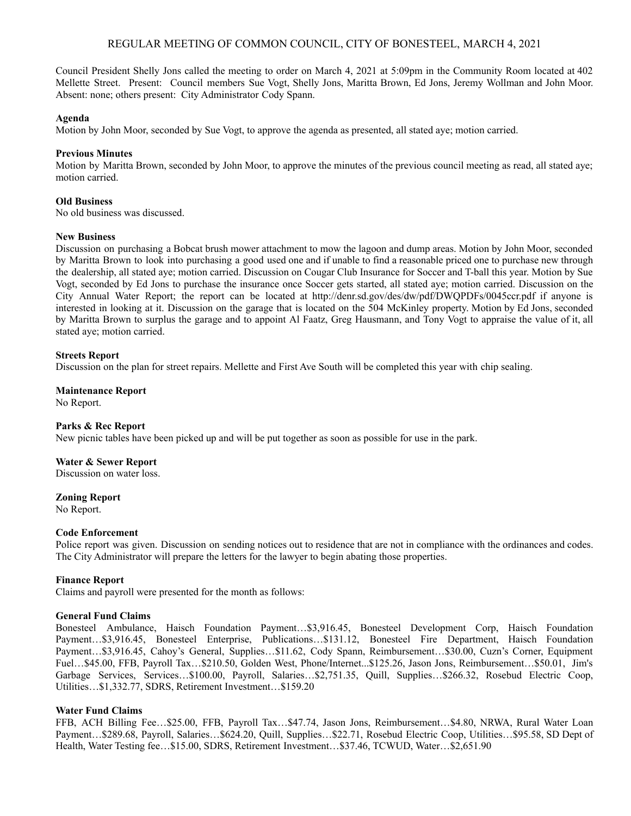# REGULAR MEETING OF COMMON COUNCIL, CITY OF BONESTEEL, MARCH 4, 2021

Council President Shelly Jons called the meeting to order on March 4, 2021 at 5:09pm in the Community Room located at 402 Mellette Street. Present: Council members Sue Vogt, Shelly Jons, Maritta Brown, Ed Jons, Jeremy Wollman and John Moor. Absent: none; others present: City Administrator Cody Spann.

### **Agenda**

Motion by John Moor, seconded by Sue Vogt, to approve the agenda as presented, all stated aye; motion carried.

## **Previous Minutes**

Motion by Maritta Brown, seconded by John Moor, to approve the minutes of the previous council meeting as read, all stated aye; motion carried.

## **Old Business**

No old business was discussed.

#### **New Business**

Discussion on purchasing a Bobcat brush mower attachment to mow the lagoon and dump areas. Motion by John Moor, seconded by Maritta Brown to look into purchasing a good used one and if unable to find a reasonable priced one to purchase new through the dealership, all stated aye; motion carried. Discussion on Cougar Club Insurance for Soccer and T-ball this year. Motion by Sue Vogt, seconded by Ed Jons to purchase the insurance once Soccer gets started, all stated aye; motion carried. Discussion on the City Annual Water Report; the report can be located at http://denr.sd.gov/des/dw/pdf/DWQPDFs/0045ccr.pdf if anyone is interested in looking at it. Discussion on the garage that is located on the 504 McKinley property. Motion by Ed Jons, seconded by Maritta Brown to surplus the garage and to appoint Al Faatz, Greg Hausmann, and Tony Vogt to appraise the value of it, all stated aye; motion carried.

## **Streets Report**

Discussion on the plan for street repairs. Mellette and First Ave South will be completed this year with chip sealing.

**Maintenance Report** No Report.

#### **Parks & Rec Report**

New picnic tables have been picked up and will be put together as soon as possible for use in the park.

#### **Water & Sewer Report**

Discussion on water loss.

#### **Zoning Report**

No Report.

#### **Code Enforcement**

Police report was given. Discussion on sending notices out to residence that are not in compliance with the ordinances and codes. The City Administrator will prepare the letters for the lawyer to begin abating those properties.

#### **Finance Report**

Claims and payroll were presented for the month as follows:

#### **General Fund Claims**

Bonesteel Ambulance, Haisch Foundation Payment…\$3,916.45, Bonesteel Development Corp, Haisch Foundation Payment…\$3,916.45, Bonesteel Enterprise, Publications…\$131.12, Bonesteel Fire Department, Haisch Foundation Payment…\$3,916.45, Cahoy's General, Supplies…\$11.62, Cody Spann, Reimbursement…\$30.00, Cuzn's Corner, Equipment Fuel…\$45.00, FFB, Payroll Tax…\$210.50, Golden West, Phone/Internet...\$125.26, Jason Jons, Reimbursement…\$50.01, Jim's Garbage Services, Services...\$100.00, Payroll, Salaries...\$2,751.35, Quill, Supplies...\$266.32, Rosebud Electric Coop, Utilities…\$1,332.77, SDRS, Retirement Investment…\$159.20

# **Water Fund Claims**

FFB, ACH Billing Fee…\$25.00, FFB, Payroll Tax…\$47.74, Jason Jons, Reimbursement…\$4.80, NRWA, Rural Water Loan Payment…\$289.68, Payroll, Salaries…\$624.20, Quill, Supplies…\$22.71, Rosebud Electric Coop, Utilities…\$95.58, SD Dept of Health, Water Testing fee…\$15.00, SDRS, Retirement Investment…\$37.46, TCWUD, Water…\$2,651.90